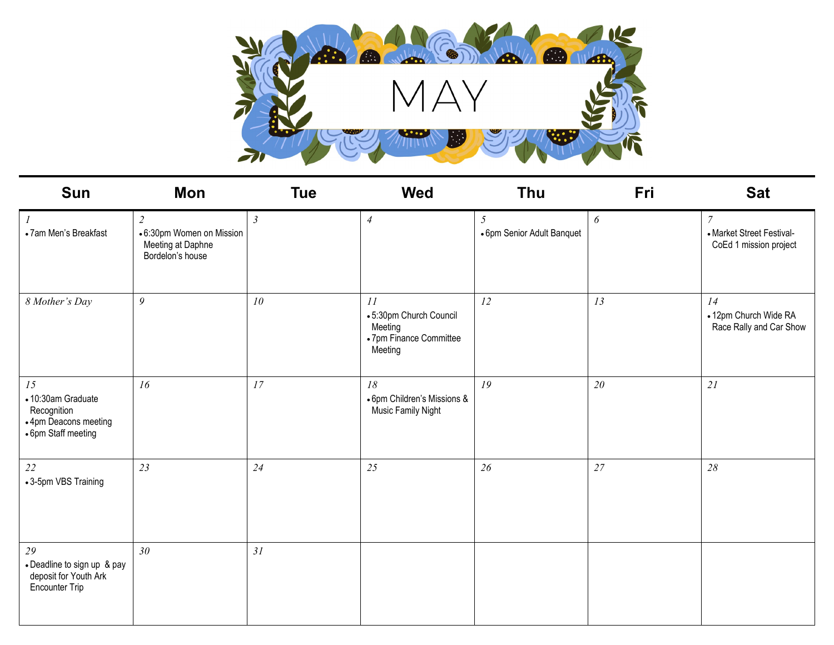

| <b>Sun</b>                                                                              | Mon                                                                     | <b>Tue</b>     | <b>Wed</b>                                                                    | <b>Thu</b>                      | Fri | <b>Sat</b>                                                           |
|-----------------------------------------------------------------------------------------|-------------------------------------------------------------------------|----------------|-------------------------------------------------------------------------------|---------------------------------|-----|----------------------------------------------------------------------|
| $\boldsymbol{l}$<br>• 7am Men's Breakfast                                               | 2<br>• 6:30pm Women on Mission<br>Meeting at Daphne<br>Bordelon's house | $\mathfrak{Z}$ | $\overline{4}$                                                                | 5<br>• 6pm Senior Adult Banquet | 6   | $\mathcal{I}$<br>• Market Street Festival-<br>CoEd 1 mission project |
| 8 Mother's Day                                                                          | 9                                                                       | 10             | 11<br>•5:30pm Church Council<br>Meeting<br>• 7pm Finance Committee<br>Meeting | 12                              | 13  | 14<br>• 12pm Church Wide RA<br>Race Rally and Car Show               |
| 15<br>• 10:30am Graduate<br>Recognition<br>• 4pm Deacons meeting<br>• 6pm Staff meeting | 16                                                                      | 17             | 18<br>• 6pm Children's Missions &<br>Music Family Night                       | 19                              | 20  | 21                                                                   |
| 22<br>•3-5pm VBS Training                                                               | 23                                                                      | 24             | 25                                                                            | 26                              | 27  | 28                                                                   |
| 29<br>• Deadline to sign up & pay<br>deposit for Youth Ark<br>Encounter Trip            | 30                                                                      | 31             |                                                                               |                                 |     |                                                                      |